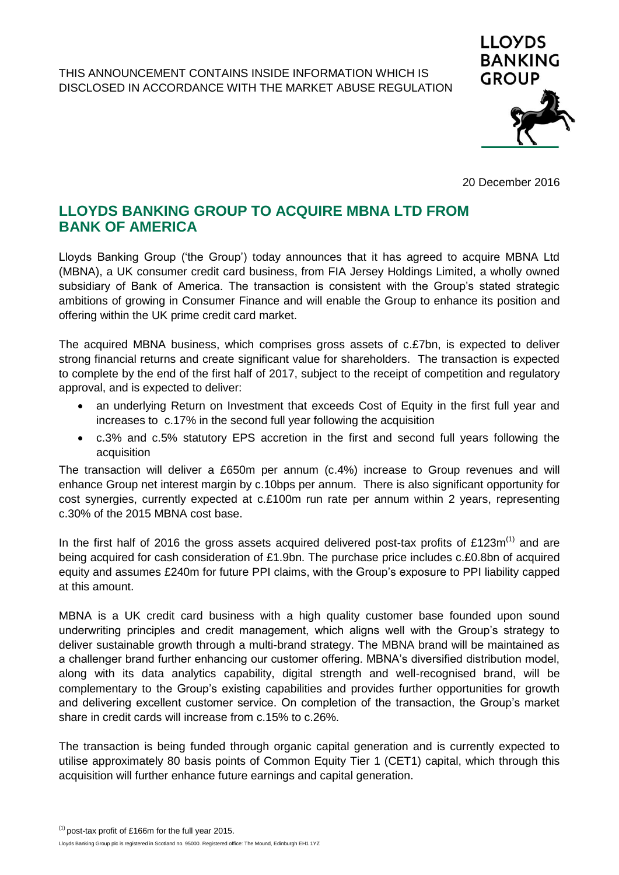

20 December 2016

## **LLOYDS BANKING GROUP TO ACQUIRE MBNA LTD FROM BANK OF AMERICA**

Lloyds Banking Group ('the Group') today announces that it has agreed to acquire MBNA Ltd (MBNA), a UK consumer credit card business, from FIA Jersey Holdings Limited, a wholly owned subsidiary of Bank of America. The transaction is consistent with the Group's stated strategic ambitions of growing in Consumer Finance and will enable the Group to enhance its position and offering within the UK prime credit card market.

The acquired MBNA business, which comprises gross assets of c.£7bn, is expected to deliver strong financial returns and create significant value for shareholders. The transaction is expected to complete by the end of the first half of 2017, subject to the receipt of competition and regulatory approval, and is expected to deliver:

- an underlying Return on Investment that exceeds Cost of Equity in the first full year and increases to c.17% in the second full year following the acquisition
- c.3% and c.5% statutory EPS accretion in the first and second full years following the acquisition

The transaction will deliver a £650m per annum (c.4%) increase to Group revenues and will enhance Group net interest margin by c.10bps per annum. There is also significant opportunity for cost synergies, currently expected at c.£100m run rate per annum within 2 years, representing c.30% of the 2015 MBNA cost base.

In the first half of 2016 the gross assets acquired delivered post-tax profits of £123 $m^{(1)}$  and are being acquired for cash consideration of £1.9bn. The purchase price includes c.£0.8bn of acquired equity and assumes £240m for future PPI claims, with the Group's exposure to PPI liability capped at this amount.

MBNA is a UK credit card business with a high quality customer base founded upon sound underwriting principles and credit management, which aligns well with the Group's strategy to deliver sustainable growth through a multi-brand strategy. The MBNA brand will be maintained as a challenger brand further enhancing our customer offering. MBNA's diversified distribution model, along with its data analytics capability, digital strength and well-recognised brand, will be complementary to the Group's existing capabilities and provides further opportunities for growth and delivering excellent customer service. On completion of the transaction, the Group's market share in credit cards will increase from c.15% to c.26%.

The transaction is being funded through organic capital generation and is currently expected to utilise approximately 80 basis points of Common Equity Tier 1 (CET1) capital, which through this acquisition will further enhance future earnings and capital generation.

Lloyds Banking Group plc is registered in Scotland no. 95000. Registered office: The Mound, Edinburgh EH1 1YZ